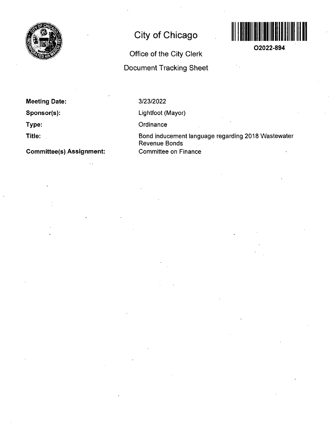

# **City of Chicago**

## **Office of the City Clerk Document Tracking Sheet**



**02022-894** 

**Meeting Date:** 

**Sponsor(s):** 

**Type:** 

**Title:** 

**Committee(s) Assignment:** 

## 3/23/2022

Lightfoot (Mayor)

**Ordinance** 

Bond inducement language regarding 2018 Wastewater Revenue Bonds Committee on Finance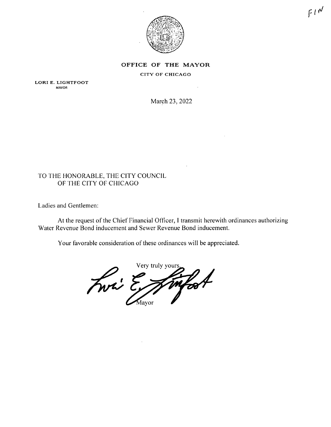

#### **OFFIC E O F TH E MAYO R**

#### CITY OF CHICAGO

LORI E. LIGHTFOOT MAYOR

March 23, 2022

### TO THE HONORABLE, THE CITY COUNCIL OF fHE CITY OF CHICAGO

Ladies and Gentlemen:

At the request of the Chief Financial Officer, 1 transmit herewith ordinances authorizing Water Revenue Bond inducement and Sewer Revenue Bond inducement.

Your favorable consideration of these ordinances will be appreciated.

Very truly your m, layor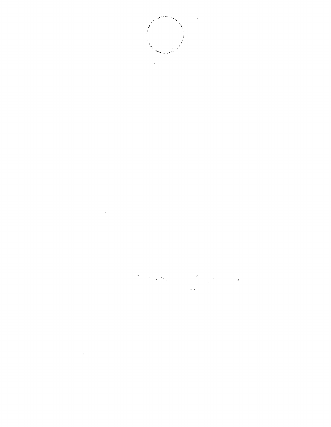

 $\label{eq:2.1} \frac{1}{\sqrt{2}}\int_{0}^{\infty}\frac{1}{\sqrt{2\pi}}\left(\frac{1}{\sqrt{2\pi}}\right)^{2\alpha} \frac{1}{\sqrt{2\pi}}\int_{0}^{\infty}\frac{1}{\sqrt{2\pi}}\left(\frac{1}{\sqrt{2\pi}}\right)^{\alpha} \frac{1}{\sqrt{2\pi}}\frac{1}{\sqrt{2\pi}}\int_{0}^{\infty}\frac{1}{\sqrt{2\pi}}\frac{1}{\sqrt{2\pi}}\frac{1}{\sqrt{2\pi}}\frac{1}{\sqrt{2\pi}}\frac{1}{\sqrt{2\pi}}\frac{1}{\sqrt{2\pi}}$ 

 $\mathcal{L}(\mathcal{L}^{\mathcal{L}})$  and  $\mathcal{L}(\mathcal{L}^{\mathcal{L}})$  and  $\mathcal{L}(\mathcal{L}^{\mathcal{L}})$ 

 $\mathcal{L}^{\text{max}}_{\text{max}}$ 

 $\label{eq:2.1} \frac{1}{\sqrt{2}}\left(\frac{1}{\sqrt{2}}\right)^{2} \left(\frac{1}{\sqrt{2}}\right)^{2} \left(\frac{1}{\sqrt{2}}\right)^{2} \left(\frac{1}{\sqrt{2}}\right)^{2} \left(\frac{1}{\sqrt{2}}\right)^{2} \left(\frac{1}{\sqrt{2}}\right)^{2} \left(\frac{1}{\sqrt{2}}\right)^{2} \left(\frac{1}{\sqrt{2}}\right)^{2} \left(\frac{1}{\sqrt{2}}\right)^{2} \left(\frac{1}{\sqrt{2}}\right)^{2} \left(\frac{1}{\sqrt{2}}\right)^{2} \left(\$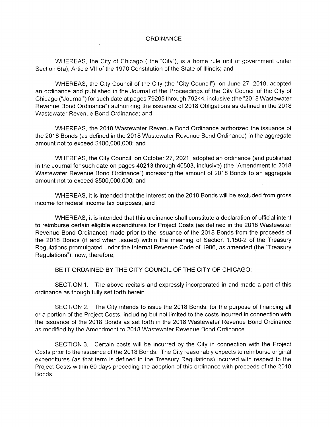#### **ORDINANCE**

WHEREAS, the City of Chicago ( the "City"), is a home rule unit of government under Section 6(a), Article Vll of the 1970 Constitution of the State of Illinois; and

WHEREAS, the City Council of the City (the "City Council"), on June 27, 2018, adopted an ordinance and published in the Journal of the Proceedings of the City Council of the City of Chicago ("Journal") for such date at pages 79205 through 79244, inclusive (the "2018 Wastewater Revenue Bond Ordinance") authorizing the issuance of 2018 Obligations as defined in the 2018 Wastewater Revenue Bond Ordinance; and

WHEREAS, the 2018 Wastewater Revenue Bond Ordinance authorized the issuance of the 2018 Bonds (as defined in the 2018 Wastewater Revenue Bond Ordinance) in the aggregate amount not to exceed \$400,000,000; and

WHEREAS, the City Council, on October 27, 2021, adopted an ordinance (and published in the Journal for such date on pages 40213 through 40503, inclusive) (the "Amendment to 2018 Wastewater Revenue Bond Ordinance") increasing the amount of 2018 Bonds to an aggregate amount not to exceed \$500,000,000; and

WHEREAS, it is intended that the interest on the 2018 Bonds will be excluded from gross income for federal income tax purposes; and

WHEREAS, it is intended that this ordinance shall constitute a declaration of official intent to reimburse certain eligible expenditures for Project Costs (as defined in the 2018 Wastewater Revenue Bond Ordinance) made prior to the issuance of the 2018 Bonds from the proceeds of the 2018 Bonds (if and when issued) within the meaning of Section 1.150-2 of the Treasury Regulations promulgated under the Internal Revenue Code of 1986, as amended (the "Treasury Regulations"); now, therefore,

BE IT ORDAINED BY THE CITY COUNCIL OF THE CITY OF CHICAGO:

SECTION 1. The above recitals and expressly incorporated in and made a part of this ordinance as though fully set forth herein.

SECTION 2. The City intends to issue the 2018 Bonds, for the purpose of financing ail or a portion of the Project Costs, including but not limited to the costs incurred in connection with the issuance of the 2018 Bonds as set forth in the 2018 Wastewater Revenue Bond Ordinance as modified by the Amendment to 2018 Wastewater Revenue Bond Ordinance.

SECTION 3. Certain costs will be incurred by the City in connection with the Project Costs prior to the issuance of the 2018 Bonds. The City reasonably expects to reimburse original expenditures (as that term is defined in the Treasury Regulations) incurred with respect to the Project Costs within 60 days preceding the adoption of this ordinance with proceeds of the 2018 Bonds.